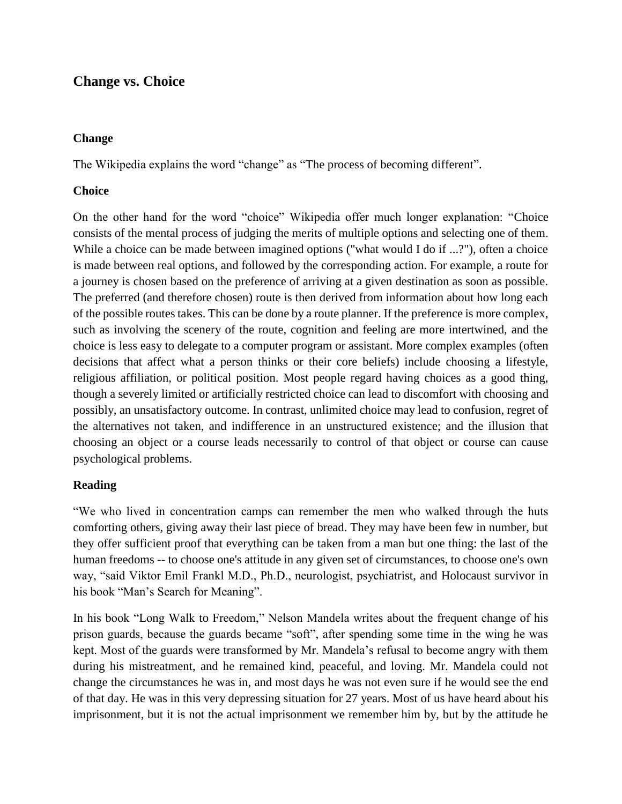# **Change vs. Choice**

## **Change**

The Wikipedia explains the word "change" as "The process of becoming different".

## **Choice**

On the other hand for the word "choice" Wikipedia offer much longer explanation: "Choice consists of the mental process of judging the merits of multiple options and selecting one of them. While a choice can be made between imagined options ("what would I do if ...?"), often a choice is made between real options, and followed by the corresponding action. For example, a route for a journey is chosen based on the preference of arriving at a given destination as soon as possible. The preferred (and therefore chosen) route is then derived from information about how long each of the possible routes takes. This can be done by a route planner. If the preference is more complex, such as involving the scenery of the route, cognition and feeling are more intertwined, and the choice is less easy to delegate to a computer program or assistant. More complex examples (often decisions that affect what a person thinks or their core beliefs) include choosing a lifestyle, religious affiliation, or political position. Most people regard having choices as a good thing, though a severely limited or artificially restricted choice can lead to discomfort with choosing and possibly, an unsatisfactory outcome. In contrast, unlimited choice may lead to confusion, regret of the alternatives not taken, and indifference in an unstructured existence; and the illusion that choosing an object or a course leads necessarily to control of that object or course can cause psychological problems.

# **Reading**

"We who lived in concentration camps can remember the men who walked through the huts comforting others, giving away their last piece of bread. They may have been few in number, but they offer sufficient proof that everything can be taken from a man but one thing: the last of the human freedoms -- to choose one's attitude in any given set of circumstances, to choose one's own way, "said Viktor Emil Frankl M.D., Ph.D., neurologist, psychiatrist, and Holocaust survivor in his book "Man's Search for Meaning".

In his book "Long Walk to Freedom," Nelson Mandela writes about the frequent change of his prison guards, because the guards became "soft", after spending some time in the wing he was kept. Most of the guards were transformed by Mr. Mandela's refusal to become angry with them during his mistreatment, and he remained kind, peaceful, and loving. Mr. Mandela could not change the circumstances he was in, and most days he was not even sure if he would see the end of that day. He was in this very depressing situation for 27 years. Most of us have heard about his imprisonment, but it is not the actual imprisonment we remember him by, but by the attitude he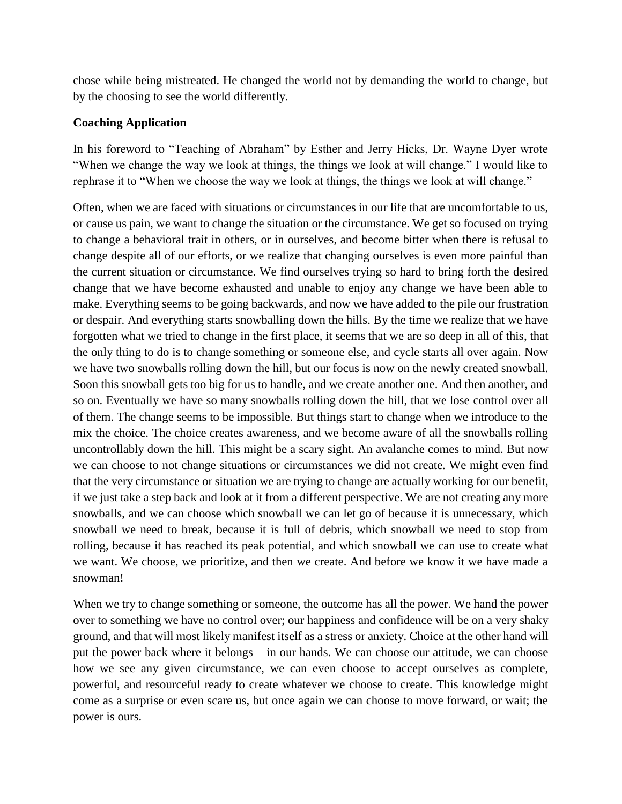chose while being mistreated. He changed the world not by demanding the world to change, but by the choosing to see the world differently.

## **Coaching Application**

In his foreword to "Teaching of Abraham" by Esther and Jerry Hicks, Dr. Wayne Dyer wrote "When we change the way we look at things, the things we look at will change." I would like to rephrase it to "When we choose the way we look at things, the things we look at will change."

Often, when we are faced with situations or circumstances in our life that are uncomfortable to us, or cause us pain, we want to change the situation or the circumstance. We get so focused on trying to change a behavioral trait in others, or in ourselves, and become bitter when there is refusal to change despite all of our efforts, or we realize that changing ourselves is even more painful than the current situation or circumstance. We find ourselves trying so hard to bring forth the desired change that we have become exhausted and unable to enjoy any change we have been able to make. Everything seems to be going backwards, and now we have added to the pile our frustration or despair. And everything starts snowballing down the hills. By the time we realize that we have forgotten what we tried to change in the first place, it seems that we are so deep in all of this, that the only thing to do is to change something or someone else, and cycle starts all over again. Now we have two snowballs rolling down the hill, but our focus is now on the newly created snowball. Soon this snowball gets too big for us to handle, and we create another one. And then another, and so on. Eventually we have so many snowballs rolling down the hill, that we lose control over all of them. The change seems to be impossible. But things start to change when we introduce to the mix the choice. The choice creates awareness, and we become aware of all the snowballs rolling uncontrollably down the hill. This might be a scary sight. An avalanche comes to mind. But now we can choose to not change situations or circumstances we did not create. We might even find that the very circumstance or situation we are trying to change are actually working for our benefit, if we just take a step back and look at it from a different perspective. We are not creating any more snowballs, and we can choose which snowball we can let go of because it is unnecessary, which snowball we need to break, because it is full of debris, which snowball we need to stop from rolling, because it has reached its peak potential, and which snowball we can use to create what we want. We choose, we prioritize, and then we create. And before we know it we have made a snowman!

When we try to change something or someone, the outcome has all the power. We hand the power over to something we have no control over; our happiness and confidence will be on a very shaky ground, and that will most likely manifest itself as a stress or anxiety. Choice at the other hand will put the power back where it belongs – in our hands. We can choose our attitude, we can choose how we see any given circumstance, we can even choose to accept ourselves as complete, powerful, and resourceful ready to create whatever we choose to create. This knowledge might come as a surprise or even scare us, but once again we can choose to move forward, or wait; the power is ours.